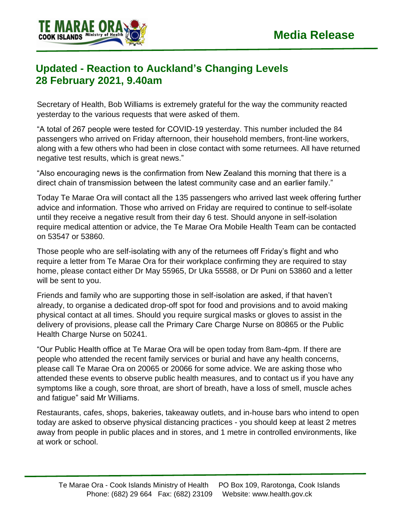

## **Updated - Reaction to Auckland's Changing Levels 28 February 2021, 9.40am**

Secretary of Health, Bob Williams is extremely grateful for the way the community reacted yesterday to the various requests that were asked of them.

"A total of 267 people were tested for COVID-19 yesterday. This number included the 84 passengers who arrived on Friday afternoon, their household members, front-line workers, along with a few others who had been in close contact with some returnees. All have returned negative test results, which is great news."

"Also encouraging news is the confirmation from New Zealand this morning that there is a direct chain of transmission between the latest community case and an earlier family."

Today Te Marae Ora will contact all the 135 passengers who arrived last week offering further advice and information. Those who arrived on Friday are required to continue to self-isolate until they receive a negative result from their day 6 test. Should anyone in self-isolation require medical attention or advice, the Te Marae Ora Mobile Health Team can be contacted on 53547 or 53860.

Those people who are self-isolating with any of the returnees off Friday's flight and who require a letter from Te Marae Ora for their workplace confirming they are required to stay home, please contact either Dr May 55965, Dr Uka 55588, or Dr Puni on 53860 and a letter will be sent to you.

Friends and family who are supporting those in self-isolation are asked, if that haven't already, to organise a dedicated drop-off spot for food and provisions and to avoid making physical contact at all times. Should you require surgical masks or gloves to assist in the delivery of provisions, please call the Primary Care Charge Nurse on 80865 or the Public Health Charge Nurse on 50241.

"Our Public Health office at Te Marae Ora will be open today from 8am-4pm. If there are people who attended the recent family services or burial and have any health concerns, please call Te Marae Ora on 20065 or 20066 for some advice. We are asking those who attended these events to observe public health measures, and to contact us if you have any symptoms like a cough, sore throat, are short of breath, have a loss of smell, muscle aches and fatigue" said Mr Williams.

Restaurants, cafes, shops, bakeries, takeaway outlets, and in-house bars who intend to open today are asked to observe physical distancing practices - you should keep at least 2 metres away from people in public places and in stores, and 1 metre in controlled environments, like at work or school.